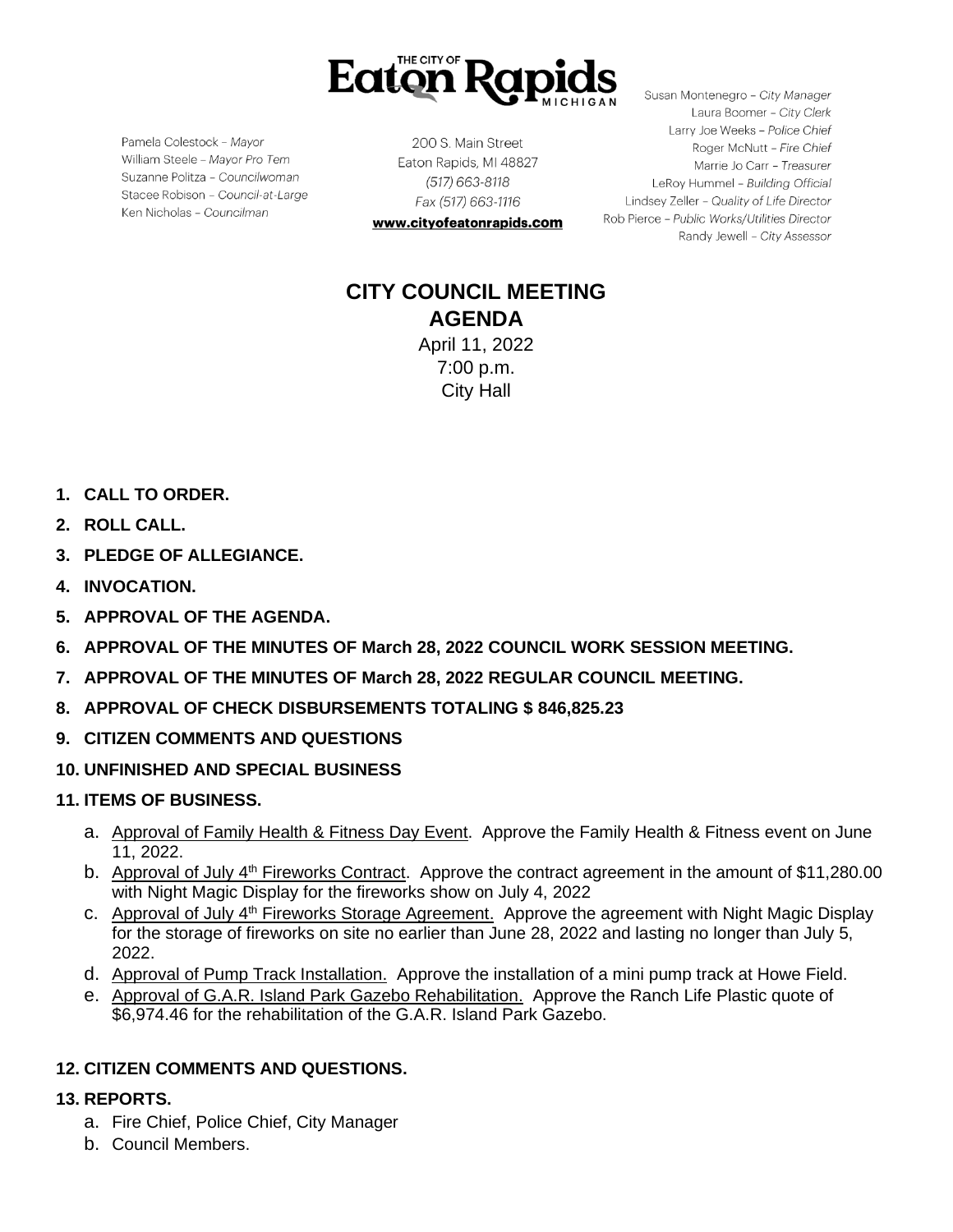

Pamela Colestock - Mayor William Steele - Mayor Pro Tem Suzanne Politza - Councilwoman Stacee Robison - Council-at-Large Ken Nicholas - Councilman

200 S. Main Street Eaton Rapids, MI 48827 (517) 663-8118 Fax (517) 663-1116

www.cityofeatonrapids.com

Susan Montenegro - City Manager Laura Boomer - City Clerk Larry Joe Weeks - Police Chief Roger McNutt - Fire Chief Marrie Jo Carr - Treasurer LeRoy Hummel - Building Official Lindsey Zeller - Quality of Life Director Rob Pierce - Public Works/Utilities Director Randy Jewell - City Assessor

# **CITY COUNCIL MEETING AGENDA** April 11, 2022

7:00 p.m. City Hall

- **1. CALL TO ORDER.**
- **2. ROLL CALL.**
- **3. PLEDGE OF ALLEGIANCE.**
- **4. INVOCATION.**
- **5. APPROVAL OF THE AGENDA.**
- **6. APPROVAL OF THE MINUTES OF March 28, 2022 COUNCIL WORK SESSION MEETING.**
- **7. APPROVAL OF THE MINUTES OF March 28, 2022 REGULAR COUNCIL MEETING.**
- **8. APPROVAL OF CHECK DISBURSEMENTS TOTALING \$ 846,825.23**
- **9. CITIZEN COMMENTS AND QUESTIONS**
- **10. UNFINISHED AND SPECIAL BUSINESS**
- **11. ITEMS OF BUSINESS.**
	- a. Approval of Family Health & Fitness Day Event. Approve the Family Health & Fitness event on June 11, 2022.
	- b. Approval of July 4<sup>th</sup> Fireworks Contract. Approve the contract agreement in the amount of \$11,280.00 with Night Magic Display for the fireworks show on July 4, 2022
	- c. Approval of July 4<sup>th</sup> Fireworks Storage Agreement. Approve the agreement with Night Magic Display for the storage of fireworks on site no earlier than June 28, 2022 and lasting no longer than July 5, 2022.
	- d. Approval of Pump Track Installation. Approve the installation of a mini pump track at Howe Field.
	- e. Approval of G.A.R. Island Park Gazebo Rehabilitation. Approve the Ranch Life Plastic quote of \$6,974.46 for the rehabilitation of the G.A.R. Island Park Gazebo.

# **12. CITIZEN COMMENTS AND QUESTIONS.**

## **13. REPORTS.**

- a. Fire Chief, Police Chief, City Manager
- b. Council Members.